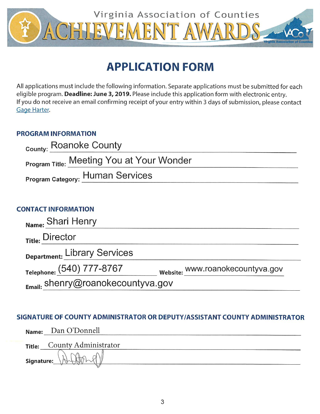

# **APPLICATION FORM**

All applications must include the following information. Separate applications must be submitted for each eligible program. Deadline: June 3, 2019. Please include this application form with electronic entry. If you do not receive an email confirming receipt of your entry within 3 days of submission, please contact Gage Harter.

# **PROGRAM INFORMATION**

| <sub>County:</sub> Roanoke County         |  |
|-------------------------------------------|--|
| Program Title: Meeting You at Your Wonder |  |
| Program Category: Human Services          |  |
|                                           |  |

# **CONTACT INFORMATION**

| Name: Shari Henry                 |                                  |
|-----------------------------------|----------------------------------|
| <sub>Title:</sub> Director        |                                  |
| Department: Library Services      |                                  |
| Telephone: (540) 777-8767         | website: www.roanokecountyva.gov |
| Email: shenry@roanokecountyva.gov |                                  |

# SIGNATURE OF COUNTY ADMINISTRATOR OR DEPUTY/ASSISTANT COUNTY ADMINISTRATOR

|            | Name: Dan O'Donnell  |
|------------|----------------------|
| Title:     | County Administrator |
| Signature: | $\mathcal{M}$        |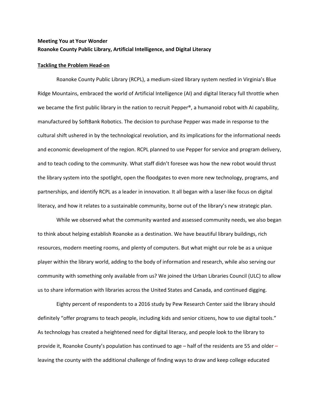### **Meeting You at Your Wonder Roanoke County Public Library, Artificial Intelligence, and Digital Literacy**

#### **Tackling the Problem Head-on**

Roanoke County Public Library (RCPL), a medium-sized library system nestled in Virginia's Blue Ridge Mountains, embraced the world of Artificial Intelligence (AI) and digital literacy full throttle when we became the first public library in the nation to recruit Pepper®, a humanoid robot with AI capability, manufactured by SoftBank Robotics. The decision to purchase Pepper was made in response to the cultural shift ushered in by the technological revolution, and its implications for the informational needs and economic development of the region. RCPL planned to use Pepper for service and program delivery, and to teach coding to the community. What staff didn't foresee was how the new robot would thrust the library system into the spotlight, open the floodgates to even more new technology, programs, and partnerships, and identify RCPL as a leader in innovation. It all began with a laser-like focus on digital literacy, and how it relates to a sustainable community, borne out of the library's new strategic plan.

While we observed what the community wanted and assessed community needs, we also began to think about helping establish Roanoke as a destination. We have beautiful library buildings, rich resources, modern meeting rooms, and plenty of computers. But what might our role be as a unique player within the library world, adding to the body of information and research, while also serving our community with something only available from us? We joined the Urban Libraries Council (ULC) to allow us to share information with libraries across the United States and Canada, and continued digging.

Eighty percent of respondents to a 2016 study by Pew Research Center said the library should definitely "offer programs to teach people, including kids and senior citizens, how to use digital tools." As technology has created a heightened need for digital literacy, and people look to the library to provide it, Roanoke County's population has continued to age – half of the residents are 55 and older – leaving the county with the additional challenge of finding ways to draw and keep college educated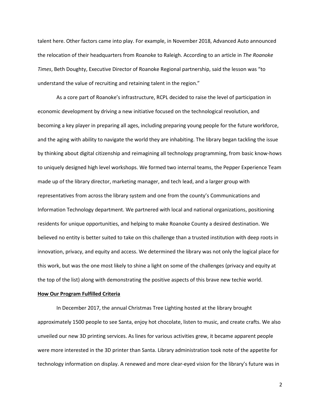talent here. Other factors came into play. For example, in November 2018, Advanced Auto announced the relocation of their headquarters from Roanoke to Raleigh. According to an article in *The Roanoke Times*, Beth Doughty, Executive Director of Roanoke Regional partnership, said the lesson was "to understand the value of recruiting and retaining talent in the region."

As a core part of Roanoke's infrastructure, RCPL decided to raise the level of participation in economic development by driving a new initiative focused on the technological revolution, and becoming a key player in preparing all ages, including preparing young people for the future workforce, and the aging with ability to navigate the world they are inhabiting. The library began tackling the issue by thinking about digital citizenship and reimagining all technology programming, from basic know-hows to uniquely designed high level workshops. We formed two internal teams, the Pepper Experience Team made up of the library director, marketing manager, and tech lead, and a larger group with representatives from across the library system and one from the county's Communications and Information Technology department. We partnered with local and national organizations, positioning residents for unique opportunities, and helping to make Roanoke County a desired destination. We believed no entity is better suited to take on this challenge than a trusted institution with deep roots in innovation, privacy, and equity and access. We determined the library was not only the logical place for this work, but was the one most likely to shine a light on some of the challenges (privacy and equity at the top of the list) along with demonstrating the positive aspects of this brave new techie world.

#### **How Our Program Fulfilled Criteria**

In December 2017, the annual Christmas Tree Lighting hosted at the library brought approximately 1500 people to see Santa, enjoy hot chocolate, listen to music, and create crafts. We also unveiled our new 3D printing services. As lines for various activities grew, it became apparent people were more interested in the 3D printer than Santa. Library administration took note of the appetite for technology information on display. A renewed and more clear-eyed vision for the library's future was in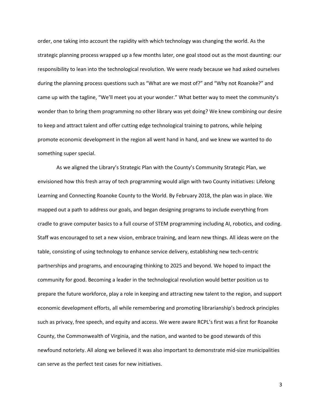order, one taking into account the rapidity with which technology was changing the world. As the strategic planning process wrapped up a few months later, one goal stood out as the most daunting: our responsibility to lean into the technological revolution. We were ready because we had asked ourselves during the planning process questions such as "What are we most of?" and "Why not Roanoke?" and came up with the tagline, "We'll meet you at your wonder." What better way to meet the community's wonder than to bring them programming no other library was yet doing? We knew combining our desire to keep and attract talent and offer cutting edge technological training to patrons, while helping promote economic development in the region all went hand in hand, and we knew we wanted to do something super special.

As we aligned the Library's Strategic Plan with the County's Community Strategic Plan, we envisioned how this fresh array of tech programming would align with two County initiatives: Lifelong Learning and Connecting Roanoke County to the World. By February 2018, the plan was in place. We mapped out a path to address our goals, and began designing programs to include everything from cradle to grave computer basics to a full course of STEM programming including AI, robotics, and coding. Staff was encouraged to set a new vision, embrace training, and learn new things. All ideas were on the table, consisting of using technology to enhance service delivery, establishing new tech-centric partnerships and programs, and encouraging thinking to 2025 and beyond. We hoped to impact the community for good. Becoming a leader in the technological revolution would better position us to prepare the future workforce, play a role in keeping and attracting new talent to the region, and support economic development efforts, all while remembering and promoting librarianship's bedrock principles such as privacy, free speech, and equity and access. We were aware RCPL's first was a first for Roanoke County, the Commonwealth of Virginia, and the nation, and wanted to be good stewards of this newfound notoriety. All along we believed it was also important to demonstrate mid-size municipalities can serve as the perfect test cases for new initiatives.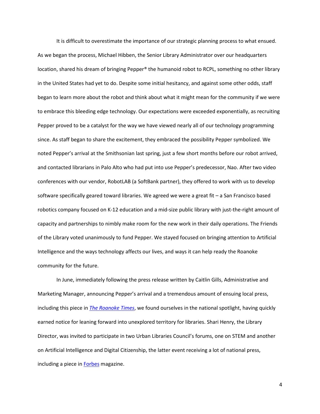It is difficult to overestimate the importance of our strategic planning process to what ensued. As we began the process, Michael Hibben, the Senior Library Administrator over our headquarters location, shared his dream of bringing Pepper® the humanoid robot to RCPL, something no other library in the United States had yet to do. Despite some initial hesitancy, and against some other odds, staff began to learn more about the robot and think about what it might mean for the community if we were to embrace this bleeding edge technology. Our expectations were exceeded exponentially, as recruiting Pepper proved to be a catalyst for the way we have viewed nearly all of our technology programming since. As staff began to share the excitement, they embraced the possibility Pepper symbolized. We noted Pepper's arrival at the Smithsonian last spring, just a few short months before our robot arrived, and contacted librarians in Palo Alto who had put into use Pepper's predecessor, Nao. After two video conferences with our vendor, RobotLAB (a SoftBank partner), they offered to work with us to develop software specifically geared toward libraries. We agreed we were a great fit – a San Francisco based robotics company focused on K-12 education and a mid-size public library with just-the-right amount of capacity and partnerships to nimbly make room for the new work in their daily operations. The Friends of the Library voted unanimously to fund Pepper. We stayed focused on bringing attention to Artificial Intelligence and the ways technology affects our lives, and ways it can help ready the Roanoke community for the future.

In June, immediately following the press release written by Caitlin Gills, Administrative and Marketing Manager, announcing Pepper's arrival and a tremendous amount of ensuing local press, including this piece in *[The Roanoke Times](https://www.roanoke.com/news/local/roanoke_county/roanoke-county-library-adds-pepper-a-community-robot/article_198827e4-e357-545a-9f14-2e8137f83208.html)*, we found ourselves in the national spotlight, having quickly earned notice for leaning forward into unexplored territory for libraries. Shari Henry, the Library Director, was invited to participate in two Urban Libraries Council's forums, one on STEM and another on Artificial Intelligence and Digital Citizenship, the latter event receiving a lot of national press, including a piece in [Forbes](https://www.forbes.com/sites/ellenduffer/2019/01/28/libraries-look-to-serve-as-leaders-in-equitable-ai-education/#6f6dcfb36c6e) magazine.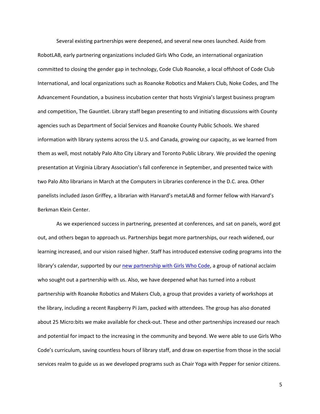Several existing partnerships were deepened, and several new ones launched. Aside from RobotLAB, early partnering organizations included Girls Who Code, an international organization committed to closing the gender gap in technology, Code Club Roanoke, a local offshoot of Code Club International, and local organizations such as Roanoke Robotics and Makers Club, Noke Codes, and The Advancement Foundation, a business incubation center that hosts Virginia's largest business program and competition, The Gauntlet. Library staff began presenting to and initiating discussions with County agencies such as Department of Social Services and Roanoke County Public Schools. We shared information with library systems across the U.S. and Canada, growing our capacity, as we learned from them as well, most notably Palo Alto City Library and Toronto Public Library. We provided the opening presentation at Virginia Library Association's fall conference in September, and presented twice with two Palo Alto librarians in March at the Computers in Libraries conference in the D.C. area. Other panelists included Jason Griffey, a librarian with Harvard's metaLAB and former fellow with Harvard's Berkman Klein Center.

As we experienced success in partnering, presented at conferences, and sat on panels, word got out, and others began to approach us. Partnerships begat more partnerships, our reach widened, our learning increased, and our vision raised higher. Staff has introduced extensive coding programs into the library's calendar, supported by our [new partnership with Girls Who Code,](https://www.roanoke.com/community/roanoke-county-public-library-presents-girls-who-code/article_44607794-3697-5062-a876-e96a6465490b.html) a group of national acclaim who sought out a partnership with us. Also, we have deepened what has turned into a robust partnership with Roanoke Robotics and Makers Club, a group that provides a variety of workshops at the library, including a recent Raspberry Pi Jam, packed with attendees. The group has also donated about 25 Micro:bits we make available for check-out. These and other partnerships increased our reach and potential for impact to the increasing in the community and beyond. We were able to use Girls Who Code's curriculum, saving countless hours of library staff, and draw on expertise from those in the social services realm to guide us as we developed programs such as Chair Yoga with Pepper for senior citizens.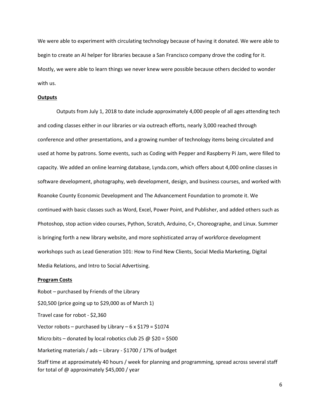We were able to experiment with circulating technology because of having it donated. We were able to begin to create an AI helper for libraries because a San Francisco company drove the coding for it. Mostly, we were able to learn things we never knew were possible because others decided to wonder with us.

### **Outputs**

Outputs from July 1, 2018 to date include approximately 4,000 people of all ages attending tech and coding classes either in our libraries or via outreach efforts, nearly 3,000 reached through conference and other presentations, and a growing number of technology items being circulated and used at home by patrons. Some events, such as Coding with Pepper and Raspberry Pi Jam, were filled to capacity. We added an online learning database, Lynda.com, which offers about 4,000 online classes in software development, photography, web development, design, and business courses, and worked with Roanoke County Economic Development and The Advancement Foundation to promote it. We continued with basic classes such as Word, Excel, Power Point, and Publisher, and added others such as Photoshop, stop action video courses, Python, Scratch, Arduino, C+, Choreographe, and Linux. Summer is bringing forth a new library website, and more sophisticated array of workforce development workshops such as Lead Generation 101: How to Find New Clients, Social Media Marketing, Digital Media Relations, and Intro to Social Advertising.

#### **Program Costs**

Robot – purchased by Friends of the Library \$20,500 (price going up to \$29,000 as of March 1) Travel case for robot - \$2,360 Vector robots – purchased by Library –  $6 \times 179 = 1074$ Micro:bits – donated by local robotics club 25  $\omega$  \$20 = \$500 Marketing materials / ads – Library - \$1700 / 17% of budget

Staff time at approximately 40 hours / week for planning and programming, spread across several staff for total of @ approximately \$45,000 / year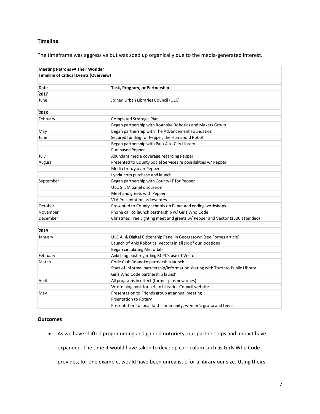### **Timeline**

The timeframe was aggressive but was sped up organically due to the media-generated interest.

| Meeting Patrons @ Their Wonder                |                                                                               |
|-----------------------------------------------|-------------------------------------------------------------------------------|
| <b>Timeline of Critical Events (Overview)</b> |                                                                               |
|                                               |                                                                               |
| Date                                          | Task, Program, or Partnership                                                 |
| 2017                                          |                                                                               |
| June                                          | Joined Urban Libraries Council (ULC)                                          |
|                                               |                                                                               |
| 2018                                          |                                                                               |
| February                                      | Completed Strategic Plan                                                      |
|                                               | Began partnership with Roanoke Robotics and Makers Group                      |
| May                                           | Began partnership with The Advancement Foundation                             |
| June                                          | Secured funding for Pepper, the Humanoid Robot                                |
|                                               | Began partnership with Palo Alto City Library                                 |
|                                               | <b>Purchased Pepper</b>                                                       |
| July                                          | Abundant media coverage regarding Pepper                                      |
| August                                        | Presented to County Social Services re possibilities w/ Pepper                |
|                                               | Media frenzy over Pepper                                                      |
|                                               | Lynda.com purchase and launch                                                 |
| September                                     | Began partnership with County IT for Pepper                                   |
|                                               | ULC STEM panel discussion                                                     |
|                                               | Meet and greets with Pepper                                                   |
|                                               | VLA Presentation as keynotes                                                  |
| October                                       | Presented to County schools on Peper and coding workshops                     |
| November                                      | Phone call to launch partnership w/ Girls Who Code                            |
| December                                      | Christmas Tree Lighting meet and greets w/ Pepper and Vector (1500 attended)  |
|                                               |                                                                               |
| 2019                                          |                                                                               |
| January                                       | ULC AI & Digital Citizenship Panel in Georgetown (see Forbes article)         |
|                                               | Launch of Anki Robotics' Vectors in all six of our locations                  |
|                                               | <b>Began circulating Micro:bits</b>                                           |
| February                                      | Anki blog post regarding RCPL's use of Vector                                 |
| March                                         | Code Club Roanoke partnership launch                                          |
|                                               | Start of informal partnership/information sharing with Toronto Public Library |
|                                               | Girls Who Code partnership launch                                             |
| April                                         | All programs in effect (former plus new ones)                                 |
|                                               | Wrote blog post for Urban Libraries Council website                           |
| May                                           | Presentation to Friends group at annual meeting                               |
|                                               | <b>Prsentation to Rotary</b>                                                  |
|                                               | Presentation to local faith community: women's group and teens                |

### **Outcomes**

• As we have shifted programming and gained notoriety, our partnerships and impact have expanded. The time it would have taken to develop curriculum such as Girls Who Code

provides, for one example, would have been unrealistic for a library our size. Using theirs,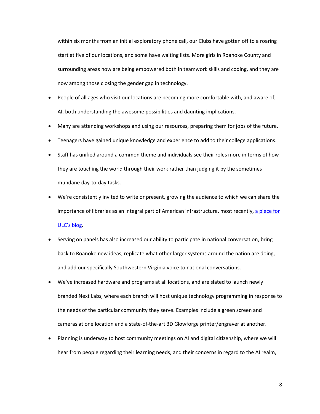within six months from an initial exploratory phone call, our Clubs have gotten off to a roaring start at five of our locations, and some have waiting lists. More girls in Roanoke County and surrounding areas now are being empowered both in teamwork skills and coding, and they are now among those closing the gender gap in technology.

- People of all ages who visit our locations are becoming more comfortable with, and aware of, AI, both understanding the awesome possibilities and daunting implications.
- Many are attending workshops and using our resources, preparing them for jobs of the future.
- Teenagers have gained unique knowledge and experience to add to their college applications.
- Staff has unified around a common theme and individuals see their roles more in terms of how they are touching the world through their work rather than judging it by the sometimes mundane day-to-day tasks.
- We're consistently invited to write or present, growing the audience to which we can share the importance of libraries as an integral part of American infrastructure, most recently, [a piece for](https://www.urbanlibraries.org/blog/whatcha-gonna-do-when-they-come-for-you-libraries-robots-and-ai-1)  [ULC's blog.](https://www.urbanlibraries.org/blog/whatcha-gonna-do-when-they-come-for-you-libraries-robots-and-ai-1)
- Serving on panels has also increased our ability to participate in national conversation, bring back to Roanoke new ideas, replicate what other larger systems around the nation are doing, and add our specifically Southwestern Virginia voice to national conversations.
- We've increased hardware and programs at all locations, and are slated to launch newly branded Next Labs, where each branch will host unique technology programming in response to the needs of the particular community they serve. Examples include a green screen and cameras at one location and a state-of-the-art 3D Glowforge printer/engraver at another.
- Planning is underway to host community meetings on AI and digital citizenship, where we will hear from people regarding their learning needs, and their concerns in regard to the AI realm,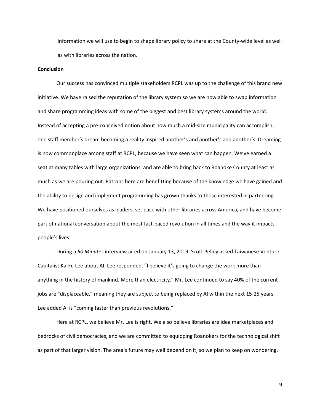information we will use to begin to shape library policy to share at the County-wide level as well as with libraries across the nation.

### **Conclusion**

Our success has convinced multiple stakeholders RCPL was up to the challenge of this brand new initiative. We have raised the reputation of the library system so we are now able to swap information and share programming ideas with some of the biggest and best library systems around the world. Instead of accepting a pre-conceived notion about how much a mid-size municipality can accomplish, one staff member's dream becoming a reality inspired another's and another's and another's. Dreaming is now commonplace among staff at RCPL, because we have seen what can happen. We've earned a seat at many tables with large organizations, and are able to bring back to Roanoke County at least as much as we are pouring out. Patrons here are benefitting because of the knowledge we have gained and the ability to design and implement programming has grown thanks to those interested in partnering. We have positioned ourselves as leaders, set pace with other libraries across America, and have become part of national conversation about the most fast-paced revolution in all times and the way it impacts people's lives.

During a *60 Minutes* interview aired on January 13, 2019, Scott Pelley asked Taiwanese Venture Capitalist Ka-Fu Lee about AI. Lee responded, "I believe it's going to change the work more than anything in the history of mankind. More than electricity." Mr. Lee continued to say 40% of the current jobs are "displaceable," meaning they are subject to being replaced by AI within the next 15-25 years. Lee added AI is "coming faster than previous revolutions."

Here at RCPL, we believe Mr. Lee is right. We also believe libraries are idea marketplaces and bedrocks of civil democracies, and we are committed to equipping Roanokers for the technological shift as part of that larger vision. The area's future may well depend on it, so we plan to keep on wondering.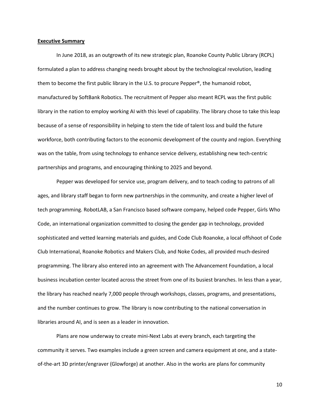#### **Executive Summary**

In June 2018, as an outgrowth of its new strategic plan, Roanoke County Public Library (RCPL) formulated a plan to address changing needs brought about by the technological revolution, leading them to become the first public library in the U.S. to procure Pepper®, the humanoid robot, manufactured by SoftBank Robotics. The recruitment of Pepper also meant RCPL was the first public library in the nation to employ working AI with this level of capability. The library chose to take this leap because of a sense of responsibility in helping to stem the tide of talent loss and build the future workforce, both contributing factors to the economic development of the county and region. Everything was on the table, from using technology to enhance service delivery, establishing new tech-centric partnerships and programs, and encouraging thinking to 2025 and beyond.

Pepper was developed for service use, program delivery, and to teach coding to patrons of all ages, and library staff began to form new partnerships in the community, and create a higher level of tech programming. RobotLAB, a San Francisco based software company, helped code Pepper, Girls Who Code, an international organization committed to closing the gender gap in technology, provided sophisticated and vetted learning materials and guides, and Code Club Roanoke, a local offshoot of Code Club International, Roanoke Robotics and Makers Club, and Noke Codes, all provided much-desired programming. The library also entered into an agreement with The Advancement Foundation, a local business incubation center located across the street from one of its busiest branches. In less than a year, the library has reached nearly 7,000 people through workshops, classes, programs, and presentations, and the number continues to grow. The library is now contributing to the national conversation in libraries around AI, and is seen as a leader in innovation.

Plans are now underway to create mini-Next Labs at every branch, each targeting the community it serves. Two examples include a green screen and camera equipment at one, and a stateof-the-art 3D printer/engraver (Glowforge) at another. Also in the works are plans for community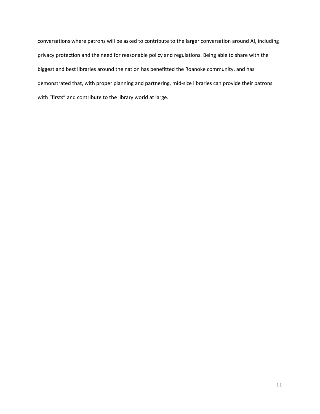conversations where patrons will be asked to contribute to the larger conversation around AI, including privacy protection and the need for reasonable policy and regulations. Being able to share with the biggest and best libraries around the nation has benefitted the Roanoke community, and has demonstrated that, with proper planning and partnering, mid-size libraries can provide their patrons with "firsts" and contribute to the library world at large.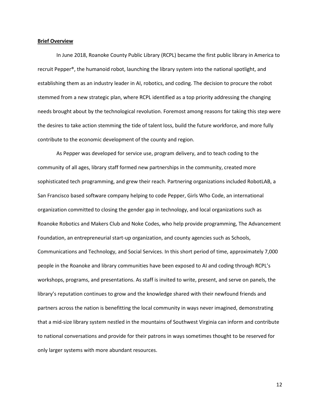#### **Brief Overview**

In June 2018, Roanoke County Public Library (RCPL) became the first public library in America to recruit Pepper®, the humanoid robot, launching the library system into the national spotlight, and establishing them as an industry leader in AI, robotics, and coding. The decision to procure the robot stemmed from a new strategic plan, where RCPL identified as a top priority addressing the changing needs brought about by the technological revolution. Foremost among reasons for taking this step were the desires to take action stemming the tide of talent loss, build the future workforce, and more fully contribute to the economic development of the county and region.

As Pepper was developed for service use, program delivery, and to teach coding to the community of all ages, library staff formed new partnerships in the community, created more sophisticated tech programming, and grew their reach. Partnering organizations included RobotLAB, a San Francisco based software company helping to code Pepper, Girls Who Code, an international organization committed to closing the gender gap in technology, and local organizations such as Roanoke Robotics and Makers Club and Noke Codes, who help provide programming, The Advancement Foundation, an entrepreneurial start-up organization, and county agencies such as Schools, Communications and Technology, and Social Services. In this short period of time, approximately 7,000 people in the Roanoke and library communities have been exposed to AI and coding through RCPL's workshops, programs, and presentations. As staff is invited to write, present, and serve on panels, the library's reputation continues to grow and the knowledge shared with their newfound friends and partners across the nation is benefitting the local community in ways never imagined, demonstrating that a mid-size library system nestled in the mountains of Southwest Virginia can inform and contribute to national conversations and provide for their patrons in ways sometimes thought to be reserved for only larger systems with more abundant resources.